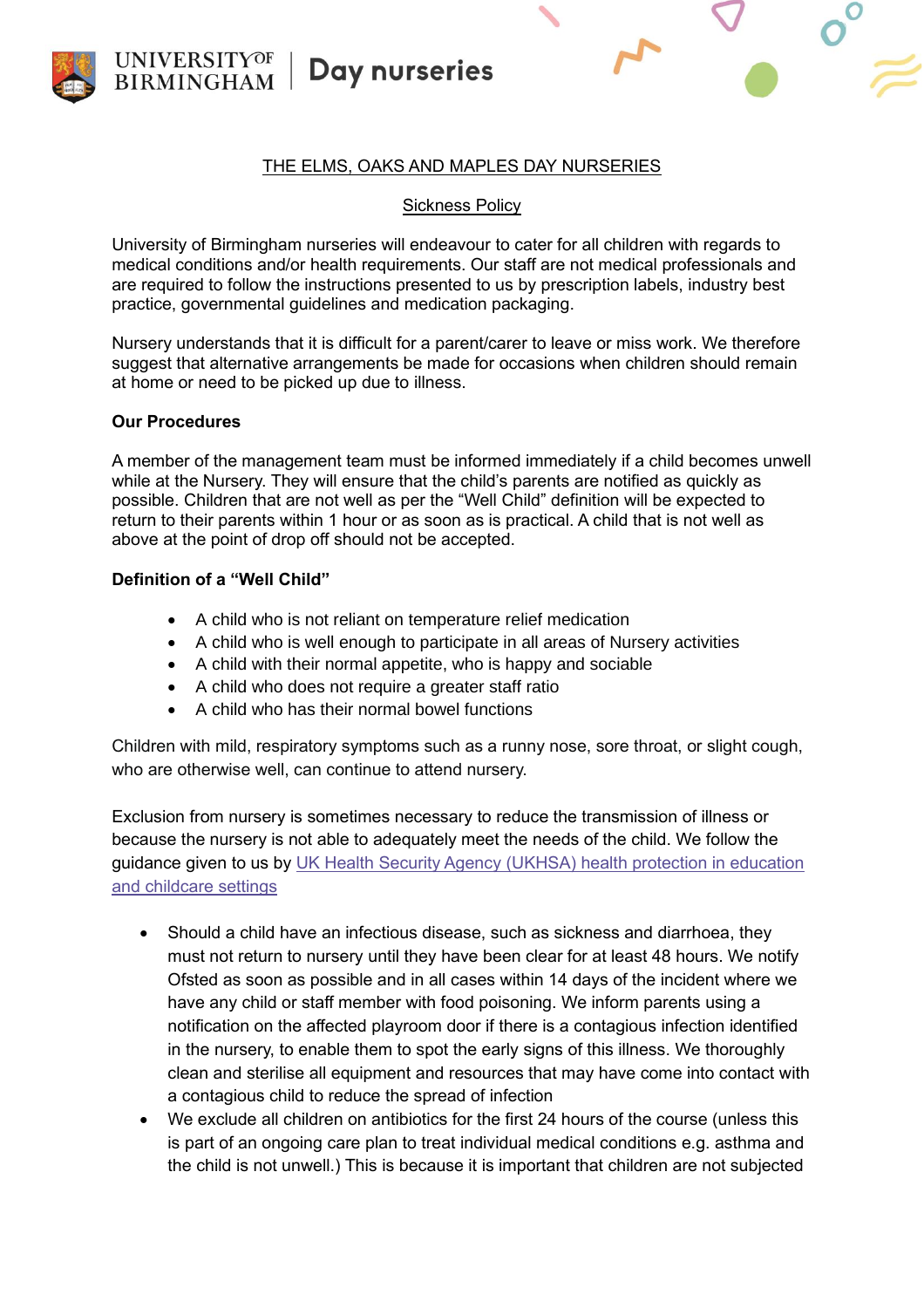

### THE ELMS, OAKS AND MAPLES DAY NURSERIES

### Sickness Policy

University of Birmingham nurseries will endeavour to cater for all children with regards to medical conditions and/or health requirements. Our staff are not medical professionals and are required to follow the instructions presented to us by prescription labels, industry best practice, governmental guidelines and medication packaging.

Nursery understands that it is difficult for a parent/carer to leave or miss work. We therefore suggest that alternative arrangements be made for occasions when children should remain at home or need to be picked up due to illness.

## **Our Procedures**

A member of the management team must be informed immediately if a child becomes unwell while at the Nursery. They will ensure that the child's parents are notified as quickly as possible. Children that are not well as per the "Well Child" definition will be expected to return to their parents within 1 hour or as soon as is practical. A child that is not well as above at the point of drop off should not be accepted.

## **Definition of a "Well Child"**

- A child who is not reliant on temperature relief medication
- A child who is well enough to participate in all areas of Nursery activities
- A child with their normal appetite, who is happy and sociable
- A child who does not require a greater staff ratio
- A child who has their normal bowel functions

Children with mild, respiratory symptoms such as a runny nose, sore throat, or slight cough, who are otherwise well, can continue to attend nursery.

Exclusion from nursery is sometimes necessary to reduce the transmission of illness or because the nursery is not able to adequately meet the needs of the child. We follow the guidance given to us by [UK Health Security Agency \(UKHSA\) health protection in education](https://email.eyalliance.org.uk/6L45-HZYE-1G0VAS-C9PAE-1/c.aspx)  [and childcare settings](https://email.eyalliance.org.uk/6L45-HZYE-1G0VAS-C9PAE-1/c.aspx)

- Should a child have an infectious disease, such as sickness and diarrhoea, they must not return to nursery until they have been clear for at least 48 hours. We notify Ofsted as soon as possible and in all cases within 14 days of the incident where we have any child or staff member with food poisoning. We inform parents using a notification on the affected playroom door if there is a contagious infection identified in the nursery, to enable them to spot the early signs of this illness. We thoroughly clean and sterilise all equipment and resources that may have come into contact with a contagious child to reduce the spread of infection
- We exclude all children on antibiotics for the first 24 hours of the course (unless this is part of an ongoing care plan to treat individual medical conditions e.g. asthma and the child is not unwell.) This is because it is important that children are not subjected

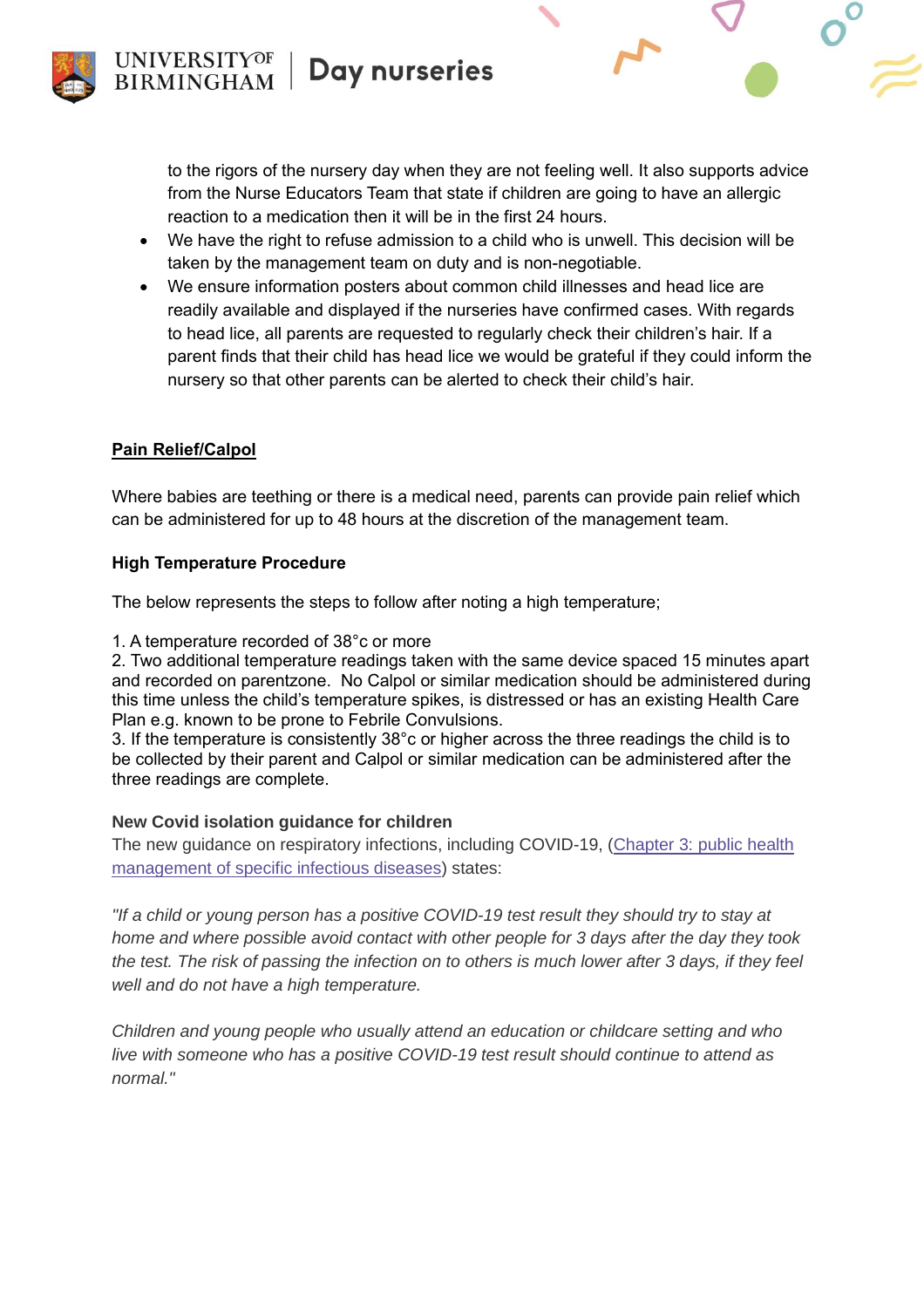to the rigors of the nursery day when they are not feeling well. It also supports advice from the Nurse Educators Team that state if children are going to have an allergic reaction to a medication then it will be in the first 24 hours.

- We have the right to refuse admission to a child who is unwell. This decision will be taken by the management team on duty and is non-negotiable.
- We ensure information posters about common child illnesses and head lice are readily available and displayed if the nurseries have confirmed cases. With regards to head lice, all parents are requested to regularly check their children's hair. If a parent finds that their child has head lice we would be grateful if they could inform the nursery so that other parents can be alerted to check their child's hair.

# **Pain Relief/Calpol**

Where babies are teething or there is a medical need, parents can provide pain relief which can be administered for up to 48 hours at the discretion of the management team.

# **High Temperature Procedure**

The below represents the steps to follow after noting a high temperature;

1. A temperature recorded of 38°c or more

2. Two additional temperature readings taken with the same device spaced 15 minutes apart and recorded on parentzone. No Calpol or similar medication should be administered during this time unless the child's temperature spikes, is distressed or has an existing Health Care Plan e.g. known to be prone to Febrile Convulsions.

3. If the temperature is consistently 38°c or higher across the three readings the child is to be collected by their parent and Calpol or similar medication can be administered after the three readings are complete.

# **New Covid isolation guidance for children**

The new guidance on respiratory infections, including COVID-19, [\(Chapter 3: public health](https://email.eyalliance.org.uk/6L45-HZYE-1G0VAS-C9PAF-1/c.aspx)  [management of specific infectious diseases\)](https://email.eyalliance.org.uk/6L45-HZYE-1G0VAS-C9PAF-1/c.aspx) states:

*"If a child or young person has a positive COVID-19 test result they should try to stay at home and where possible avoid contact with other people for 3 days after the day they took the test. The risk of passing the infection on to others is much lower after 3 days, if they feel well and do not have a high temperature.*

*Children and young people who usually attend an education or childcare setting and who live with someone who has a positive COVID-19 test result should continue to attend as normal."*